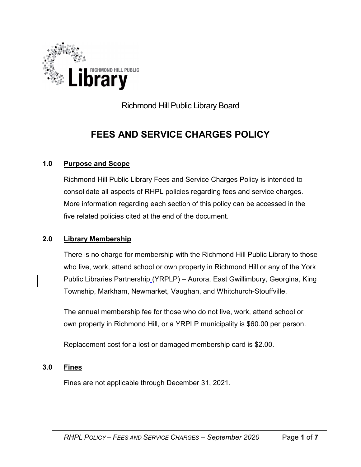

Richmond Hill Public Library Board

# FEES AND SERVICE CHARGES POLICY

## 1.0 Purpose and Scope

Richmond Hill Public Library Fees and Service Charges Policy is intended to consolidate all aspects of RHPL policies regarding fees and service charges. More information regarding each section of this policy can be accessed in the five related policies cited at the end of the document.

## 2.0 Library Membership

There is no charge for membership with the Richmond Hill Public Library to those who live, work, attend school or own property in Richmond Hill or any of the York Public Libraries Partnership (YRPLP) – Aurora, East Gwillimbury, Georgina, King Township, Markham, Newmarket, Vaughan, and Whitchurch-Stouffville.

The annual membership fee for those who do not live, work, attend school or own property in Richmond Hill, or a YRPLP municipality is \$60.00 per person.

Replacement cost for a lost or damaged membership card is \$2.00.

## 3.0 Fines

Fines are not applicable through December 31, 2021.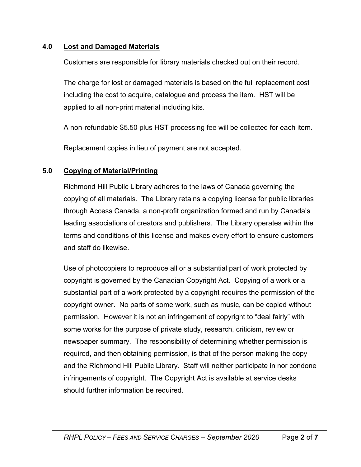## 4.0 Lost and Damaged Materials

Customers are responsible for library materials checked out on their record.

The charge for lost or damaged materials is based on the full replacement cost including the cost to acquire, catalogue and process the item. HST will be applied to all non-print material including kits.

A non-refundable \$5.50 plus HST processing fee will be collected for each item.

Replacement copies in lieu of payment are not accepted.

#### 5.0 Copying of Material/Printing

Richmond Hill Public Library adheres to the laws of Canada governing the copying of all materials. The Library retains a copying license for public libraries through Access Canada, a non-profit organization formed and run by Canada's leading associations of creators and publishers. The Library operates within the terms and conditions of this license and makes every effort to ensure customers and staff do likewise.

Use of photocopiers to reproduce all or a substantial part of work protected by copyright is governed by the Canadian Copyright Act. Copying of a work or a substantial part of a work protected by a copyright requires the permission of the copyright owner. No parts of some work, such as music, can be copied without permission. However it is not an infringement of copyright to "deal fairly" with some works for the purpose of private study, research, criticism, review or newspaper summary. The responsibility of determining whether permission is required, and then obtaining permission, is that of the person making the copy and the Richmond Hill Public Library. Staff will neither participate in nor condone infringements of copyright. The Copyright Act is available at service desks should further information be required.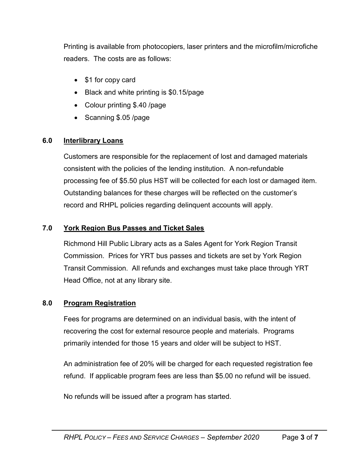Printing is available from photocopiers, laser printers and the microfilm/microfiche readers. The costs are as follows:

- \$1 for copy card
- Black and white printing is \$0.15/page
- Colour printing \$.40 /page
- Scanning \$.05 /page

## 6.0 Interlibrary Loans

Customers are responsible for the replacement of lost and damaged materials consistent with the policies of the lending institution. A non-refundable processing fee of \$5.50 plus HST will be collected for each lost or damaged item. Outstanding balances for these charges will be reflected on the customer's record and RHPL policies regarding delinquent accounts will apply.

## 7.0 York Region Bus Passes and Ticket Sales

Richmond Hill Public Library acts as a Sales Agent for York Region Transit Commission. Prices for YRT bus passes and tickets are set by York Region Transit Commission. All refunds and exchanges must take place through YRT Head Office, not at any library site.

# 8.0 Program Registration

Fees for programs are determined on an individual basis, with the intent of recovering the cost for external resource people and materials. Programs primarily intended for those 15 years and older will be subject to HST.

An administration fee of 20% will be charged for each requested registration fee refund. If applicable program fees are less than \$5.00 no refund will be issued.

No refunds will be issued after a program has started.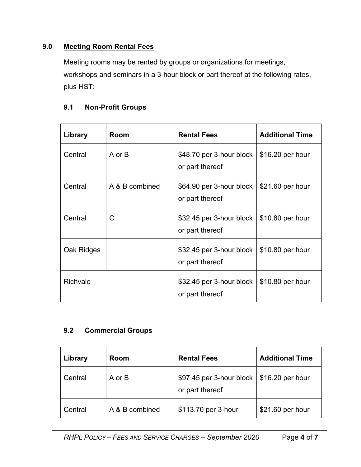## 9.0 Meeting Room Rental Fees

Meeting rooms may be rented by groups or organizations for meetings, workshops and seminars in a 3-hour block or part thereof at the following rates, plus HST:

## 9.1 Non-Profit Groups

| Library    | Room           | <b>Rental Fees</b>                          | <b>Additional Time</b> |
|------------|----------------|---------------------------------------------|------------------------|
| Central    | A or B         | \$48.70 per 3-hour block<br>or part thereof | \$16.20 per hour       |
| Central    | A & B combined | \$64.90 per 3-hour block<br>or part thereof | \$21.60 per hour       |
| Central    | C              | \$32.45 per 3-hour block<br>or part thereof | \$10.80 per hour       |
| Oak Ridges |                | \$32.45 per 3-hour block<br>or part thereof | \$10.80 per hour       |
| Richvale   |                | \$32.45 per 3-hour block<br>or part thereof | \$10.80 per hour       |

## 9.2 Commercial Groups

| Library | Room           | <b>Rental Fees</b>                          | <b>Additional Time</b> |
|---------|----------------|---------------------------------------------|------------------------|
| Central | A or B         | \$97.45 per 3-hour block<br>or part thereof | \$16.20 per hour       |
| Central | A & B combined | \$113.70 per 3-hour                         | \$21.60 per hour       |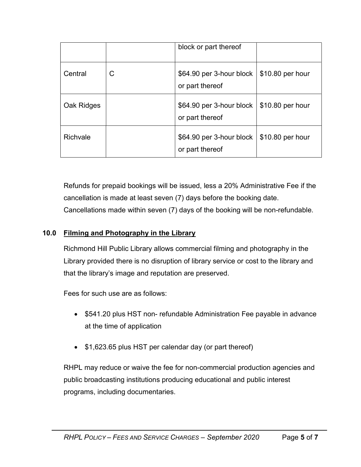|            |   | block or part thereof                       |                  |
|------------|---|---------------------------------------------|------------------|
| Central    | C | \$64.90 per 3-hour block<br>or part thereof | \$10.80 per hour |
| Oak Ridges |   | \$64.90 per 3-hour block<br>or part thereof | \$10.80 per hour |
| Richvale   |   | \$64.90 per 3-hour block<br>or part thereof | \$10.80 per hour |

Refunds for prepaid bookings will be issued, less a 20% Administrative Fee if the cancellation is made at least seven (7) days before the booking date. Cancellations made within seven (7) days of the booking will be non-refundable.

## 10.0 Filming and Photography in the Library

Richmond Hill Public Library allows commercial filming and photography in the Library provided there is no disruption of library service or cost to the library and that the library's image and reputation are preserved.

Fees for such use are as follows:

- \$541.20 plus HST non- refundable Administration Fee payable in advance at the time of application
- \$1,623.65 plus HST per calendar day (or part thereof)

RHPL may reduce or waive the fee for non-commercial production agencies and public broadcasting institutions producing educational and public interest programs, including documentaries.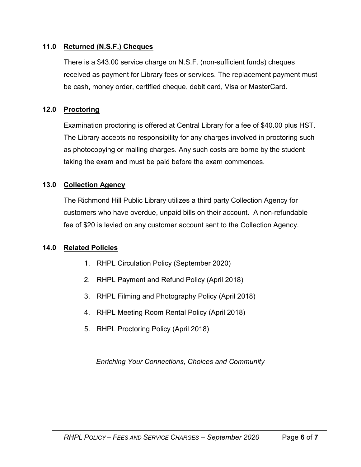#### 11.0 Returned (N.S.F.) Cheques

There is a \$43.00 service charge on N.S.F. (non-sufficient funds) cheques received as payment for Library fees or services. The replacement payment must be cash, money order, certified cheque, debit card, Visa or MasterCard.

#### 12.0 Proctoring

Examination proctoring is offered at Central Library for a fee of \$40.00 plus HST. The Library accepts no responsibility for any charges involved in proctoring such as photocopying or mailing charges. Any such costs are borne by the student taking the exam and must be paid before the exam commences.

## 13.0 Collection Agency

The Richmond Hill Public Library utilizes a third party Collection Agency for customers who have overdue, unpaid bills on their account. A non-refundable fee of \$20 is levied on any customer account sent to the Collection Agency.

#### 14.0 Related Policies

- 1. RHPL Circulation Policy (September 2020)
- 2. RHPL Payment and Refund Policy (April 2018)
- 3. RHPL Filming and Photography Policy (April 2018)
- 4. RHPL Meeting Room Rental Policy (April 2018)
- 5. RHPL Proctoring Policy (April 2018)

Enriching Your Connections, Choices and Community